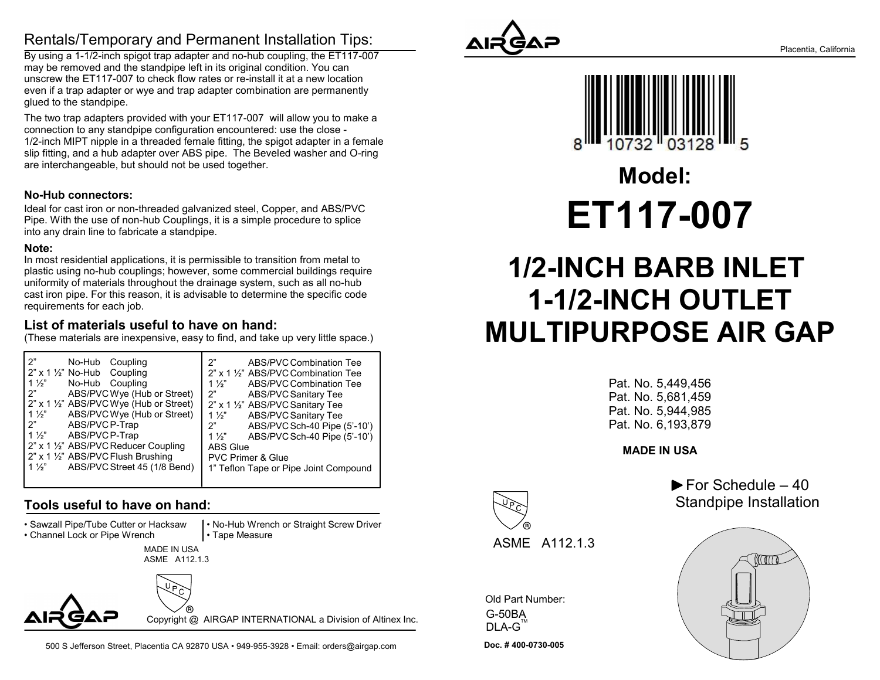### Rentals/Temporary and Permanent Installation Tips:

By using a 1-1/2-inch spigot trap adapter and no-hub coupling, the ET117-007 may be removed and the standpipe left in its original condition. You can unscrew the ET117-007 to check flow rates or re-install it at a new location even if a trap adapter or wye and trap adapter combination are permanently glued to the standpipe.

The two trap adapters provided with your ET117-007 will allow you to make a connection to any standpipe configuration encountered: use the close - 1/2-inch MIPT nipple in a threaded female fitting, the spigot adapter in a female slip fitting, and a hub adapter over ABS pipe. The Beveled washer and O-ring are interchangeable, but should not be used together.

#### No-Hub connectors:

Ideal for cast iron or non-threaded galvanized steel, Copper, and ABS/PVC Pipe. With the use of non-hub Couplings, it is a simple procedure to splice into any drain line to fabricate a standpipe.

#### Note:

In most residential applications, it is permissible to transition from metal to plastic using no-hub couplings; however, some commercial buildings require uniformity of materials throughout the drainage system, such as all no-hub cast iron pipe. For this reason, it is advisable to determine the specific code requirements for each job.

#### List of materials useful to have on hand:

(These materials are inexpensive, easy to find, and take up very little space.)

| 2"                                          | ን"                                    |
|---------------------------------------------|---------------------------------------|
| No-Hub Coupling                             | ABS/PVC Combination Tee               |
| $2"$ x 1 $\frac{1}{2}"$ No-Hub Coupling     | 2" x 1 1/2" ABS/PVC Combination Tee   |
| $1\frac{1}{2}$                              | 1 $\frac{1}{2}$                       |
| No-Hub Coupling                             | ABS/PVC Combination Tee               |
| $\mathsf{P}$                                | 2"                                    |
| ABS/PVCWye (Hub or Street)                  | <b>ABS/PVC Sanitary Tee</b>           |
| 2" x 1 1/2" ABS/PVC Wye (Hub or Street)     | 2" x 1 1/2" ABS/PVC Sanitary Tee      |
| ABS/PVC Wye (Hub or Street)                 | <b>ABS/PVC Sanitary Tee</b>           |
| $1\frac{1}{2}$                              | 1 $\frac{1}{2}$                       |
| l 2"                                        | ABS/PVCSch-40 Pipe (5'-10')           |
| ABS/PVCP-Trap                               | 2"                                    |
| $1\frac{1}{2}$                              | 1 $\frac{1}{2}$                       |
| ABS/PVC P-Trap                              | ABS/PVC Sch-40 Pipe (5'-10')          |
| 2" x 1 1/2" ABS/PVC Reducer Coupling        | <b>ABS Glue</b>                       |
| 2" x 1 1/2" ABS/PVC Flush Brushing          | <b>PVC Primer &amp; Glue</b>          |
| $1\frac{1}{2}$ ABS/PVC Street 45 (1/8 Bend) | 1" Teflon Tape or Pipe Joint Compound |
|                                             |                                       |

#### Tools useful to have on hand:

• Sawzall Pipe/Tube Cutter or Hacksaw

• Channel Lock or Pipe Wrench

 • No-Hub Wrench or Straight Screw Driver • Tape Measure

MADE IN USA ASME A112.1.3



Copyright @ AIRGAP INTERNATIONAL a Division of Altinex Inc.

500 S Jefferson Street, Placentia CA 92870 USA • 949-955-3928 • Email: orders@airgap.com





ET117-007 Model:

# 1/2-INCH BARB INLET 1-1/2-INCH OUTLET MULTIPURPOSE AIR GAP

Pat. No. 5,449,456 Pat. No. 5,681,459 Pat. No. 5,944,985 Pat. No. 6,193,879

MADE IN USA

 $\blacktriangleright$  For Schedule – 40 Standpipe Installation





ASME A112.1.3

Doc. # 400-0730-005 Old Part Number: G-50BA  $DLA-G^{\text{TM}}$